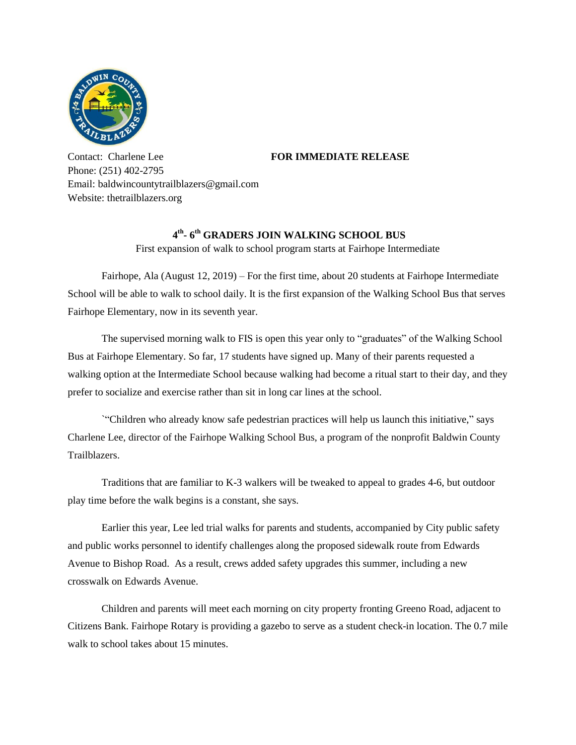

Contact: Charlene Lee **FOR IMMEDIATE RELEASE** Phone: (251) 402-2795 Email: baldwincountytrailblazers@gmail.com Website: thetrailblazers.org

## **4 th - 6 th GRADERS JOIN WALKING SCHOOL BUS**

First expansion of walk to school program starts at Fairhope Intermediate

Fairhope, Ala (August 12, 2019) – For the first time, about 20 students at Fairhope Intermediate School will be able to walk to school daily. It is the first expansion of the Walking School Bus that serves Fairhope Elementary, now in its seventh year.

The supervised morning walk to FIS is open this year only to "graduates" of the Walking School Bus at Fairhope Elementary. So far, 17 students have signed up. Many of their parents requested a walking option at the Intermediate School because walking had become a ritual start to their day, and they prefer to socialize and exercise rather than sit in long car lines at the school.

`"Children who already know safe pedestrian practices will help us launch this initiative," says Charlene Lee, director of the Fairhope Walking School Bus, a program of the nonprofit Baldwin County Trailblazers.

Traditions that are familiar to K-3 walkers will be tweaked to appeal to grades 4-6, but outdoor play time before the walk begins is a constant, she says.

Earlier this year, Lee led trial walks for parents and students, accompanied by City public safety and public works personnel to identify challenges along the proposed sidewalk route from Edwards Avenue to Bishop Road. As a result, crews added safety upgrades this summer, including a new crosswalk on Edwards Avenue.

Children and parents will meet each morning on city property fronting Greeno Road, adjacent to Citizens Bank. Fairhope Rotary is providing a gazebo to serve as a student check-in location. The 0.7 mile walk to school takes about 15 minutes.